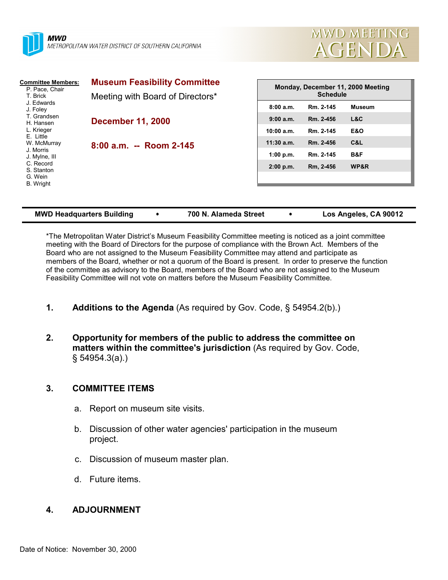



| <b>Committee Members:</b><br>P. Pace, Chair<br>T. Brick<br>J. Edwards<br>J. Foley<br>T. Grandsen<br>H. Hansen<br>L. Krieger<br>E. Little<br>W. McMurray<br>J. Morris<br>J. Mylne, III<br>C. Record<br>S. Stanton | <b>Museum Feasibility Committee</b><br>Meeting with Board of Directors* | Monday, December 11, 2000 Meeting<br><b>Schedule</b> |           |                |  |
|------------------------------------------------------------------------------------------------------------------------------------------------------------------------------------------------------------------|-------------------------------------------------------------------------|------------------------------------------------------|-----------|----------------|--|
|                                                                                                                                                                                                                  |                                                                         | 8:00a.m.                                             | Rm. 2-145 | <b>Museum</b>  |  |
|                                                                                                                                                                                                                  | <b>December 11, 2000</b><br>8:00 a.m. -- Room 2-145                     | 9:00 a.m.                                            | Rm. 2-456 | L&C            |  |
|                                                                                                                                                                                                                  |                                                                         | 10:00 a.m.                                           | Rm. 2-145 | <b>E&amp;O</b> |  |
|                                                                                                                                                                                                                  |                                                                         | $11:30$ a.m.                                         | Rm. 2-456 | C&L            |  |
|                                                                                                                                                                                                                  |                                                                         | 1:00 p.m.                                            | Rm. 2-145 | B&F            |  |
|                                                                                                                                                                                                                  |                                                                         | $2:00$ p.m.                                          | Rm, 2-456 | WP&R           |  |
| G. Wein<br><b>B.</b> Wright                                                                                                                                                                                      |                                                                         |                                                      |           |                |  |
|                                                                                                                                                                                                                  |                                                                         |                                                      |           |                |  |
|                                                                                                                                                                                                                  |                                                                         |                                                      |           |                |  |

| <b>MWD Headquarters Building</b> |  | 700 N. Alameda Street |  | Los Angeles, CA 90012 |
|----------------------------------|--|-----------------------|--|-----------------------|
|----------------------------------|--|-----------------------|--|-----------------------|

\*The Metropolitan Water District's Museum Feasibility Committee meeting is noticed as a joint committee meeting with the Board of Directors for the purpose of compliance with the Brown Act. Members of the Board who are not assigned to the Museum Feasibility Committee may attend and participate as members of the Board, whether or not a quorum of the Board is present. In order to preserve the function of the committee as advisory to the Board, members of the Board who are not assigned to the Museum Feasibility Committee will not vote on matters before the Museum Feasibility Committee.

- **1. Additions to the Agenda** (As required by Gov. Code, § 54954.2(b).)
- **2. Opportunity for members of the public to address the committee on matters within the committee's jurisdiction** (As required by Gov. Code, § 54954.3(a).)

## **3. COMMITTEE ITEMS**

- a. Report on museum site visits.
- b. Discussion of other water agencies' participation in the museum project.
- c. Discussion of museum master plan.
- d. Future items.

## **4. ADJOURNMENT**